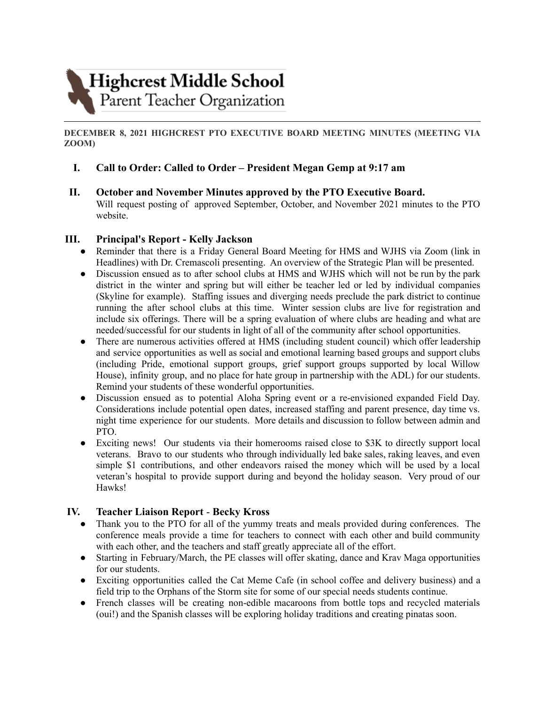

**DECEMBER 8, 2021 HIGHCREST PTO EXECUTIVE BOARD MEETING MINUTES (MEETING VIA ZOOM)**

# **I. Call to Order: Called to Order – President Megan Gemp at 9:17 am**

**II. October and November Minutes approved by the PTO Executive Board.**

Will request posting of approved September, October, and November 2021 minutes to the PTO website.

### **III. Principal's Report - Kelly Jackson**

- Reminder that there is a Friday General Board Meeting for HMS and WJHS via Zoom (link in Headlines) with Dr. Cremascoli presenting. An overview of the Strategic Plan will be presented.
- Discussion ensued as to after school clubs at HMS and WJHS which will not be run by the park district in the winter and spring but will either be teacher led or led by individual companies (Skyline for example). Staffing issues and diverging needs preclude the park district to continue running the after school clubs at this time. Winter session clubs are live for registration and include six offerings. There will be a spring evaluation of where clubs are heading and what are needed/successful for our students in light of all of the community after school opportunities.
- There are numerous activities offered at HMS (including student council) which offer leadership and service opportunities as well as social and emotional learning based groups and support clubs (including Pride, emotional support groups, grief support groups supported by local Willow House), infinity group, and no place for hate group in partnership with the ADL) for our students. Remind your students of these wonderful opportunities.
- Discussion ensued as to potential Aloha Spring event or a re-envisioned expanded Field Day. Considerations include potential open dates, increased staffing and parent presence, day time vs. night time experience for our students. More details and discussion to follow between admin and PTO.
- Exciting news! Our students via their homerooms raised close to \$3K to directly support local veterans. Bravo to our students who through individually led bake sales, raking leaves, and even simple \$1 contributions, and other endeavors raised the money which will be used by a local veteran's hospital to provide support during and beyond the holiday season. Very proud of our Hawks!

# **IV. Teacher Liaison Report** - **Becky Kross**

- Thank you to the PTO for all of the yummy treats and meals provided during conferences. The conference meals provide a time for teachers to connect with each other and build community with each other, and the teachers and staff greatly appreciate all of the effort.
- Starting in February/March, the PE classes will offer skating, dance and Krav Maga opportunities for our students.
- Exciting opportunities called the Cat Meme Cafe (in school coffee and delivery business) and a field trip to the Orphans of the Storm site for some of our special needs students continue.
- French classes will be creating non-edible macaroons from bottle tops and recycled materials (oui!) and the Spanish classes will be exploring holiday traditions and creating pinatas soon.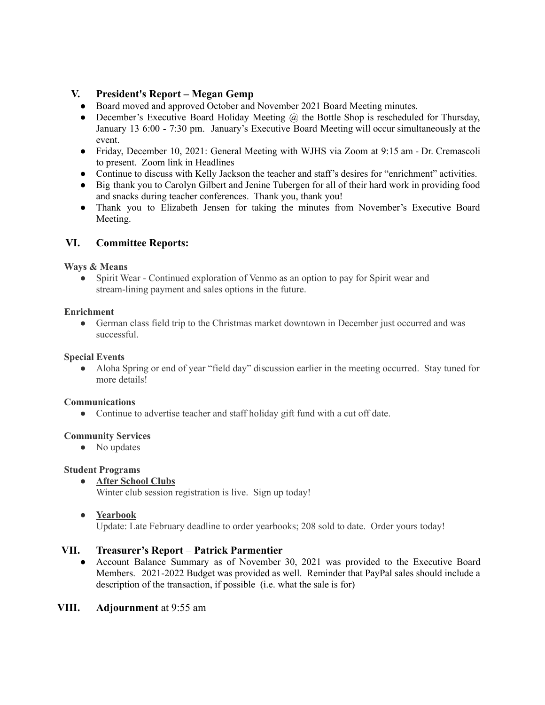# **V. President's Report – Megan Gemp**

- Board moved and approved October and November 2021 Board Meeting minutes.
- December's Executive Board Holiday Meeting  $\omega$  the Bottle Shop is rescheduled for Thursday, January 13 6:00 - 7:30 pm. January's Executive Board Meeting will occur simultaneously at the event.
- Friday, December 10, 2021: General Meeting with WJHS via Zoom at 9:15 am Dr. Cremascoli to present. Zoom link in Headlines
- Continue to discuss with Kelly Jackson the teacher and staff's desires for "enrichment" activities.
- Big thank you to Carolyn Gilbert and Jenine Tubergen for all of their hard work in providing food and snacks during teacher conferences. Thank you, thank you!
- Thank you to Elizabeth Jensen for taking the minutes from November's Executive Board Meeting.

# **VI. Committee Reports:**

### **Ways & Means**

• Spirit Wear - Continued exploration of Venmo as an option to pay for Spirit wear and stream-lining payment and sales options in the future.

### **Enrichment**

● German class field trip to the Christmas market downtown in December just occurred and was successful.

### **Special Events**

• Aloha Spring or end of year "field day" discussion earlier in the meeting occurred. Stay tuned for more details!

#### **Communications**

• Continue to advertise teacher and staff holiday gift fund with a cut off date.

# **Community Services**

• No updates

#### **Student Programs**

**● After School Clubs**

Winter club session registration is live. Sign up today!

● **Yearbook**

Update: Late February deadline to order yearbooks; 208 sold to date. Order yours today!

# **VII. Treasurer's Report** – **Patrick Parmentier**

● Account Balance Summary as of November 30, 2021 was provided to the Executive Board Members. 2021-2022 Budget was provided as well. Reminder that PayPal sales should include a description of the transaction, if possible (i.e. what the sale is for)

# **VIII. Adjournment** at 9:55 am